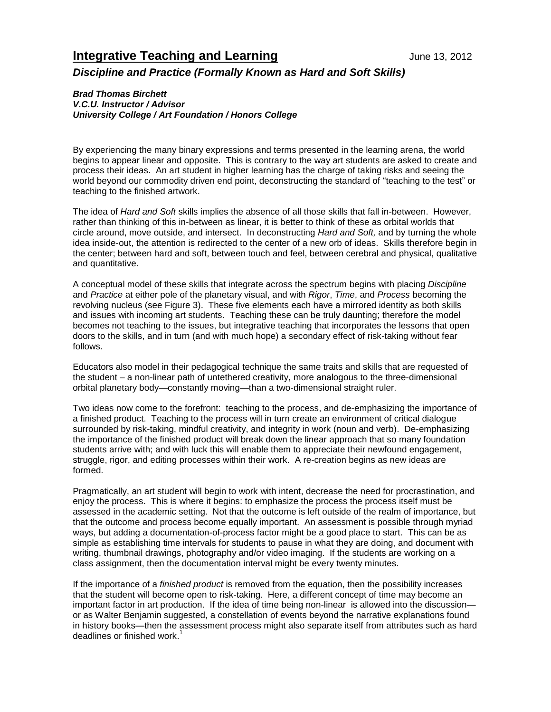## **Integrative Teaching and Learning Integrative Teaching and Learning Integrative Algebra**

*Discipline and Practice (Formally Known as Hard and Soft Skills)*

## *Brad Thomas Birchett*

*V.C.U. Instructor / Advisor University College / Art Foundation / Honors College*

By experiencing the many binary expressions and terms presented in the learning arena, the world begins to appear linear and opposite. This is contrary to the way art students are asked to create and process their ideas. An art student in higher learning has the charge of taking risks and seeing the world beyond our commodity driven end point, deconstructing the standard of "teaching to the test" or teaching to the finished artwork.

The idea of *Hard and Soft* skills implies the absence of all those skills that fall in-between. However, rather than thinking of this in-between as linear, it is better to think of these as orbital worlds that circle around, move outside, and intersect. In deconstructing *Hard and Soft,* and by turning the whole idea inside-out, the attention is redirected to the center of a new orb of ideas. Skills therefore begin in the center; between hard and soft, between touch and feel, between cerebral and physical, qualitative and quantitative.

A conceptual model of these skills that integrate across the spectrum begins with placing *Discipline* and *Practice* at either pole of the planetary visual, and with *Rigor*, *Time*, and *Process* becoming the revolving nucleus (see Figure 3). These five elements each have a mirrored identity as both skills and issues with incoming art students. Teaching these can be truly daunting; therefore the model becomes not teaching to the issues, but integrative teaching that incorporates the lessons that open doors to the skills, and in turn (and with much hope) a secondary effect of risk-taking without fear follows.

Educators also model in their pedagogical technique the same traits and skills that are requested of the student – a non-linear path of untethered creativity, more analogous to the three-dimensional orbital planetary body—constantly moving—than a two-dimensional straight ruler.

Two ideas now come to the forefront: teaching to the process, and de-emphasizing the importance of a finished product. Teaching to the process will in turn create an environment of critical dialogue surrounded by risk-taking, mindful creativity, and integrity in work (noun and verb). De-emphasizing the importance of the finished product will break down the linear approach that so many foundation students arrive with; and with luck this will enable them to appreciate their newfound engagement, struggle, rigor, and editing processes within their work. A re-creation begins as new ideas are formed.

Pragmatically, an art student will begin to work with intent, decrease the need for procrastination, and enjoy the process. This is where it begins: to emphasize the process the process itself must be assessed in the academic setting. Not that the outcome is left outside of the realm of importance, but that the outcome and process become equally important. An assessment is possible through myriad ways, but adding a documentation-of-process factor might be a good place to start. This can be as simple as establishing time intervals for students to pause in what they are doing, and document with writing, thumbnail drawings, photography and/or video imaging. If the students are working on a class assignment, then the documentation interval might be every twenty minutes.

If the importance of a *finished product* is removed from the equation, then the possibility increases that the student will become open to risk-taking. Here, a different concept of time may become an important factor in art production. If the idea of time being non-linear is allowed into the discussion or as Walter Benjamin suggested, a constellation of events beyond the narrative explanations found in history books—then the assessment process might also separate itself from attributes such as hard deadlines or finished work.<sup>1</sup>